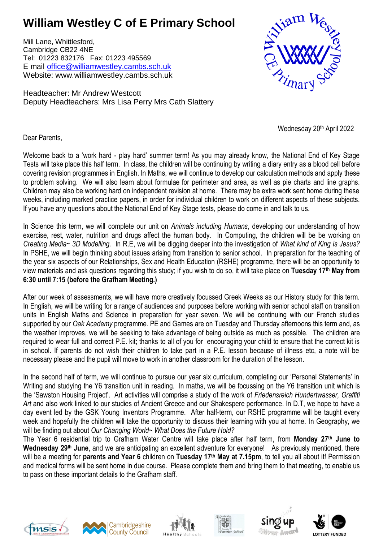## **William Westley C of E Primary School**

Mill Lane, Whittlesford, Cambridge CB22 4NE Tel: 01223 832176 Fax: 01223 495569 E mail [office@williamwestley.cambs.sch.uk](mailto:office@williamwestley.cambs.sch.uk) Website: www.williamwestley.cambs.sch.uk

Headteacher: Mr Andrew Westcott Deputy Headteachers: Mrs Lisa Perry Mrs Cath Slattery



Wednesday 20<sup>th</sup> April 2022

Dear Parents,

Welcome back to a 'work hard - play hard' summer term! As you may already know, the National End of Key Stage Tests will take place this half term. In class, the children will be continuing by writing a diary entry as a blood cell before covering revision programmes in English. In Maths, we will continue to develop our calculation methods and apply these to problem solving. We will also learn about formulae for perimeter and area, as well as pie charts and line graphs. Children may also be working hard on independent revision at home. There may be extra work sent home during these weeks, including marked practice papers, in order for individual children to work on different aspects of these subjects. If you have any questions about the National End of Key Stage tests, please do come in and talk to us.

In Science this term, we will complete our unit on *Animals including Humans*, developing our understanding of how exercise, rest, water, nutrition and drugs affect the human body. In Computing, the children will be be working on *Creating Media~ 3D Modelling.* In R.E, we will be digging deeper into the investigation of *What kind of King is Jesus?* In PSHE, we will begin thinking about issues arising from transition to senior school. In preparation for the teaching of the year six aspects of our Relationships, Sex and Health Education (RSHE) programme, there will be an opportunity to view materials and ask questions regarding this study; if you wish to do so, it will take place on **Tuesday 17th May from 6:30 until 7:15 (before the Grafham Meeting.)**

After our week of assessments, we will have more creatively focussed Greek Weeks as our History study for this term. In English, we will be writing for a range of audiences and purposes before working with senior school staff on transition units in English Maths and Science in preparation for year seven. We will be continuing with our French studies supported by our *Oak Academy* programme. PE and Games are on Tuesday and Thursday afternoons this term and, as the weather improves, we will be seeking to take advantage of being outside as much as possible. The children are required to wear full and correct P.E. kit; thanks to all of you for encouraging your child to ensure that the correct kit is in school. If parents do not wish their children to take part in a P.E. lesson because of illness etc, a note will be necessary please and the pupil will move to work in another classroom for the duration of the lesson.

In the second half of term, we will continue to pursue our year six curriculum, completing our 'Personal Statements' in Writing and studying the Y6 transition unit in reading. In maths, we will be focussing on the Y6 transition unit which is the 'Sawston Housing Project'. Art activities will comprise a study of the work of *Friedensreich Hundertwasser, Graffiti Art* and also work linked to our studies of Ancient Greece and our Shakespere performance. In D.T, we hope to have a day event led by the GSK Young Inventors Programme. After half-term, our RSHE programme will be taught every week and hopefully the children will take the opportunity to discuss their learning with you at home. In Geography, we will be finding out about *Our Changing World~ What Does the Future Hold?*

The Year 6 residential trip to Grafham Water Centre will take place after half term, from **Monday 27th June to Wednesday 29th June**, and we are anticipating an excellent adventure for everyone! As previously mentioned, there will be a meeting for **parents and Year 6** children on **Tuesday 17th May at 7.15pm**, to tell you all about it! Permission and medical forms will be sent home in due course. Please complete them and bring them to that meeting, to enable us to pass on these important details to the Grafham staff.